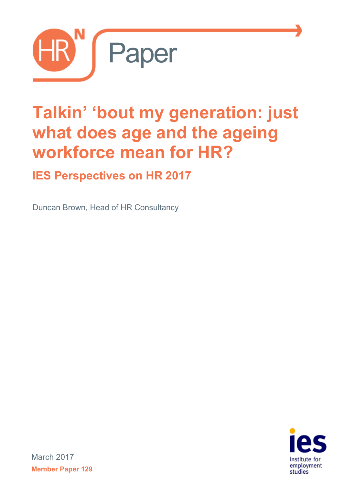

# **Talkin' 'bout my generation: just what does age and the ageing workforce mean for HR?**

## **IES Perspectives on HR 2017**

Duncan Brown, Head of HR Consultancy



March 2017 **Member Paper 129**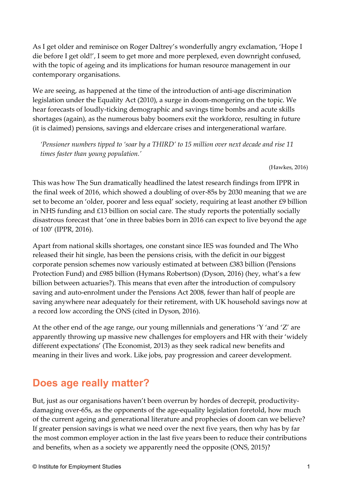As I get older and reminisce on Roger Daltrey's wonderfully angry exclamation, 'Hope I die before I get old!', I seem to get more and more perplexed, even downright confused, with the topic of ageing and its implications for human resource management in our contemporary organisations.

We are seeing, as happened at the time of the introduction of anti-age discrimination legislation under the Equality Act (2010), a surge in doom-mongering on the topic. We hear forecasts of loudly-ticking demographic and savings time bombs and acute skills shortages (again), as the numerous baby boomers exit the workforce, resulting in future (it is claimed) pensions, savings and eldercare crises and intergenerational warfare.

*'Pensioner numbers tipped to 'soar by a THIRD' to 15 million over next decade and rise 11 times faster than young population.'*

(Hawkes, 2016)

This was how The Sun dramatically headlined the latest research findings from IPPR in the final week of 2016, which showed a doubling of over-85s by 2030 meaning that we are set to become an 'older, poorer and less equal' society, requiring at least another £9 billion in NHS funding and £13 billion on social care. The study reports the potentially socially disastrous forecast that 'one in three babies born in 2016 can expect to live beyond the age of 100' (IPPR, 2016).

Apart from national skills shortages, one constant since IES was founded and The Who released their hit single, has been the pensions crisis, with the deficit in our biggest corporate pension schemes now variously estimated at between £383 billion (Pensions Protection Fund) and £985 billion (Hymans Robertson) (Dyson, 2016) (hey, what's a few billion between actuaries?). This means that even after the introduction of compulsory saving and auto-enrolment under the Pensions Act 2008, fewer than half of people are saving anywhere near adequately for their retirement, with UK household savings now at a record low according the ONS (cited in Dyson, 2016).

At the other end of the age range, our young millennials and generations 'Y 'and 'Z' are apparently throwing up massive new challenges for employers and HR with their 'widely different expectations' (The Economist, 2013) as they seek radical new benefits and meaning in their lives and work. Like jobs, pay progression and career development.

## **Does age really matter?**

But, just as our organisations haven't been overrun by hordes of decrepit, productivitydamaging over-65s, as the opponents of the age-equality legislation foretold, how much of the current ageing and generational literature and prophecies of doom can we believe? If greater pension savings is what we need over the next five years, then why has by far the most common employer action in the last five years been to reduce their contributions and benefits, when as a society we apparently need the opposite (ONS, 2015)?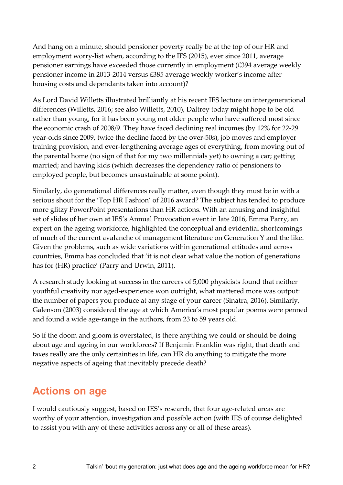And hang on a minute, should pensioner poverty really be at the top of our HR and employment worry-list when, according to the IFS (2015), ever since 2011, average pensioner earnings have exceeded those currently in employment (£394 average weekly pensioner income in 2013-2014 versus £385 average weekly worker's income after housing costs and dependants taken into account)?

As Lord David Willetts illustrated brilliantly at his recent IES lecture on intergenerational differences (Willetts, 2016; see also Willetts, 2010), Daltrey today might hope to be old rather than young, for it has been young not older people who have suffered most since the economic crash of 2008/9. They have faced declining real incomes (by 12% for 22-29 year-olds since 2009, twice the decline faced by the over-50s), job moves and employer training provision, and ever-lengthening average ages of everything, from moving out of the parental home (no sign of that for my two millennials yet) to owning a car; getting married; and having kids (which decreases the dependency ratio of pensioners to employed people, but becomes unsustainable at some point).

Similarly, do generational differences really matter, even though they must be in with a serious shout for the 'Top HR Fashion' of 2016 award? The subject has tended to produce more glitzy PowerPoint presentations than HR actions. With an amusing and insightful set of slides of her own at IES's Annual Provocation event in late 2016, Emma Parry, an expert on the ageing workforce, highlighted the conceptual and evidential shortcomings of much of the current avalanche of management literature on Generation Y and the like. Given the problems, such as wide variations within generational attitudes and across countries, Emma has concluded that 'it is not clear what value the notion of generations has for (HR) practice' (Parry and Urwin, 2011).

A research study looking at success in the careers of 5,000 physicists found that neither youthful creativity nor aged-experience won outright, what mattered more was output: the number of papers you produce at any stage of your career (Sinatra, 2016). Similarly, Galenson (2003) considered the age at which America's most popular poems were penned and found a wide age-range in the authors, from 23 to 59 years old.

So if the doom and gloom is overstated, is there anything we could or should be doing about age and ageing in our workforces? If Benjamin Franklin was right, that death and taxes really are the only certainties in life, can HR do anything to mitigate the more negative aspects of ageing that inevitably precede death?

## **Actions on age**

I would cautiously suggest, based on IES's research, that four age-related areas are worthy of your attention, investigation and possible action (with IES of course delighted to assist you with any of these activities across any or all of these areas).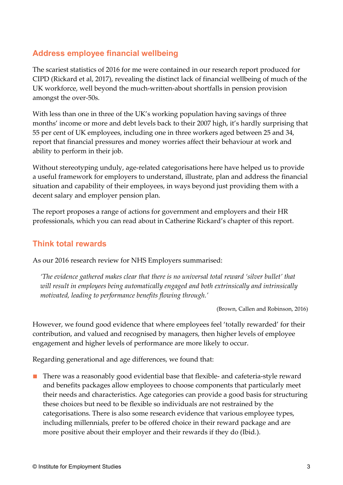#### **Address employee financial wellbeing**

The scariest statistics of 2016 for me were contained in our research report produced for CIPD (Rickard et al, 2017), revealing the distinct lack of financial wellbeing of much of the UK workforce, well beyond the much-written-about shortfalls in pension provision amongst the over-50s.

With less than one in three of the UK's working population having savings of three months' income or more and debt levels back to their 2007 high, it's hardly surprising that 55 per cent of UK employees, including one in three workers aged between 25 and 34, report that financial pressures and money worries affect their behaviour at work and ability to perform in their job.

Without stereotyping unduly, age-related categorisations here have helped us to provide a useful framework for employers to understand, illustrate, plan and address the financial situation and capability of their employees, in ways beyond just providing them with a decent salary and employer pension plan.

The report proposes a range of actions for government and employers and their HR professionals, which you can read about in Catherine Rickard's chapter of this report.

#### **Think total rewards**

As our 2016 research review for NHS Employers summarised:

*'The evidence gathered makes clear that there is no universal total reward 'silver bullet' that will result in employees being automatically engaged and both extrinsically and intrinsically motivated, leading to performance benefits flowing through.'*

(Brown, Callen and Robinson, 2016)

However, we found good evidence that where employees feel 'totally rewarded' for their contribution, and valued and recognised by managers, then higher levels of employee engagement and higher levels of performance are more likely to occur.

Regarding generational and age differences, we found that:

■ There was a reasonably good evidential base that flexible- and cafeteria-style reward and benefits packages allow employees to choose components that particularly meet their needs and characteristics. Age categories can provide a good basis for structuring these choices but need to be flexible so individuals are not restrained by the categorisations. There is also some research evidence that various employee types, including millennials, prefer to be offered choice in their reward package and are more positive about their employer and their rewards if they do (Ibid.).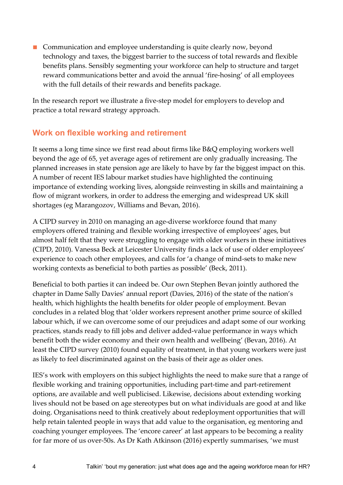■ Communication and employee understanding is quite clearly now, beyond technology and taxes, the biggest barrier to the success of total rewards and flexible benefits plans. Sensibly segmenting your workforce can help to structure and target reward communications better and avoid the annual 'fire-hosing' of all employees with the full details of their rewards and benefits package.

In the research report we illustrate a five-step model for employers to develop and practice a total reward strategy approach.

#### **Work on flexible working and retirement**

It seems a long time since we first read about firms like B&Q employing workers well beyond the age of 65, yet average ages of retirement are only gradually increasing. The planned increases in state pension age are likely to have by far the biggest impact on this. A number of recent IES labour market studies have highlighted the continuing importance of extending working lives, alongside reinvesting in skills and maintaining a flow of migrant workers, in order to address the emerging and widespread UK skill shortages (eg Marangozov, Williams and Bevan, 2016).

A CIPD survey in 2010 on managing an age-diverse workforce found that many employers offered training and flexible working irrespective of employees' ages, but almost half felt that they were struggling to engage with older workers in these initiatives (CIPD, 2010). Vanessa Beck at Leicester University finds a lack of use of older employees' experience to coach other employees, and calls for 'a change of mind-sets to make new working contexts as beneficial to both parties as possible' (Beck, 2011).

Beneficial to both parties it can indeed be. Our own Stephen Bevan jointly authored the chapter in Dame Sally Davies' annual report (Davies, 2016) of the state of the nation's health, which highlights the health benefits for older people of employment. Bevan concludes in a related blog that 'older workers represent another prime source of skilled labour which, if we can overcome some of our prejudices and adapt some of our working practices, stands ready to fill jobs and deliver added-value performance in ways which benefit both the wider economy and their own health and wellbeing' (Bevan, 2016). At least the CIPD survey (2010) found equality of treatment, in that young workers were just as likely to feel discriminated against on the basis of their age as older ones.

IES's work with employers on this subject highlights the need to make sure that a range of flexible working and training opportunities, including part-time and part-retirement options, are available and well publicised. Likewise, decisions about extending working lives should not be based on age stereotypes but on what individuals are good at and like doing. Organisations need to think creatively about redeployment opportunities that will help retain talented people in ways that add value to the organisation, eg mentoring and coaching younger employees. The 'encore career' at last appears to be becoming a reality for far more of us over-50s. As Dr Kath Atkinson (2016) expertly summarises, 'we must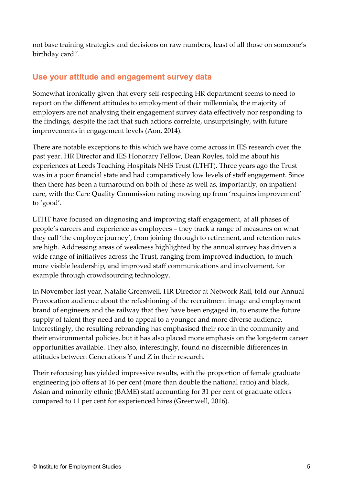not base training strategies and decisions on raw numbers, least of all those on someone's birthday card!'.

#### **Use your attitude and engagement survey data**

Somewhat ironically given that every self-respecting HR department seems to need to report on the different attitudes to employment of their millennials, the majority of employers are not analysing their engagement survey data effectively nor responding to the findings, despite the fact that such actions correlate, unsurprisingly, with future improvements in engagement levels (Aon, 2014).

There are notable exceptions to this which we have come across in IES research over the past year. HR Director and IES Honorary Fellow, Dean Royles, told me about his experiences at Leeds Teaching Hospitals NHS Trust (LTHT). Three years ago the Trust was in a poor financial state and had comparatively low levels of staff engagement. Since then there has been a turnaround on both of these as well as, importantly, on inpatient care, with the Care Quality Commission rating moving up from 'requires improvement' to 'good'.

LTHT have focused on diagnosing and improving staff engagement, at all phases of people's careers and experience as employees – they track a range of measures on what they call 'the employee journey', from joining through to retirement, and retention rates are high. Addressing areas of weakness highlighted by the annual survey has driven a wide range of initiatives across the Trust, ranging from improved induction, to much more visible leadership, and improved staff communications and involvement, for example through crowdsourcing technology.

In November last year, Natalie Greenwell, HR Director at Network Rail, told our Annual Provocation audience about the refashioning of the recruitment image and employment brand of engineers and the railway that they have been engaged in, to ensure the future supply of talent they need and to appeal to a younger and more diverse audience. Interestingly, the resulting rebranding has emphasised their role in the community and their environmental policies, but it has also placed more emphasis on the long-term career opportunities available. They also, interestingly, found no discernible differences in attitudes between Generations Y and Z in their research.

Their refocusing has yielded impressive results, with the proportion of female graduate engineering job offers at 16 per cent (more than double the national ratio) and black, Asian and minority ethnic (BAME) staff accounting for 31 per cent of graduate offers compared to 11 per cent for experienced hires (Greenwell, 2016).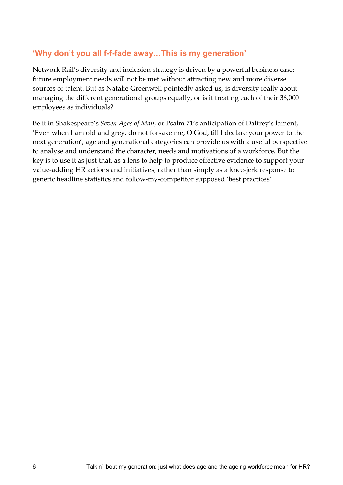#### **'Why don't you all f-f-fade away…This is my generation'**

Network Rail's diversity and inclusion strategy is driven by a powerful business case: future employment needs will not be met without attracting new and more diverse sources of talent. But as Natalie Greenwell pointedly asked us, is diversity really about managing the different generational groups equally, or is it treating each of their 36,000 employees as individuals?

Be it in Shakespeare's *Seven Ages of Man*, or Psalm 71's anticipation of Daltrey's lament, 'Even when I am old and grey, do not forsake me, O God, till I declare your power to the next generation', age and generational categories can provide us with a useful perspective to analyse and understand the character, needs and motivations of a workforce**.** But the key is to use it as just that, as a lens to help to produce effective evidence to support your value-adding HR actions and initiatives, rather than simply as a knee-jerk response to generic headline statistics and follow-my-competitor supposed 'best practices'.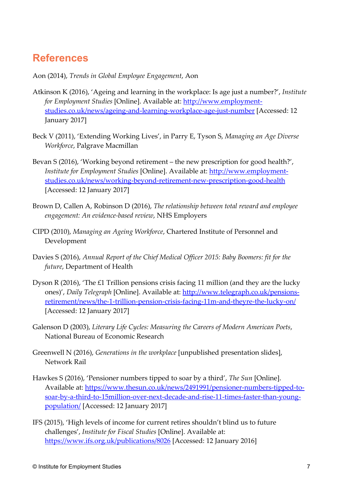## **References**

Aon (2014), *Trends in Global Employee Engagement*, Aon

- Atkinson K (2016), 'Ageing and learning in the workplace: Is age just a number?', *Institute for Employment Studies* [Online]. Available at: [http://www.employment](http://www.employment-studies.co.uk/news/ageing-and-learning-workplace-age-just-number)[studies.co.uk/news/ageing-and-learning-workplace-age-just-number](http://www.employment-studies.co.uk/news/ageing-and-learning-workplace-age-just-number) [Accessed: 12 January 2017]
- Beck V (2011), 'Extending Working Lives', in Parry E, Tyson S, *Managing an Age Diverse Workforce*, Palgrave Macmillan
- Bevan S (2016), 'Working beyond retirement the new prescription for good health?', *Institute for Employment Studies* [Online]. Available at: [http://www.employment](http://www.employment-studies.co.uk/news/working-beyond-retirement-new-prescription-good-health)[studies.co.uk/news/working-beyond-retirement-new-prescription-good-health](http://www.employment-studies.co.uk/news/working-beyond-retirement-new-prescription-good-health) [Accessed: 12 January 2017]
- Brown D, Callen A, Robinson D (2016), *The relationship between total reward and employee engagement: An evidence-based review*, NHS Employers
- CIPD (2010), *Managing an Ageing Workforce*, Chartered Institute of Personnel and Development
- Davies S (2016), *Annual Report of the Chief Medical Officer 2015: Baby Boomers: fit for the future*, Department of Health
- Dyson R (2016), 'The £1 Trillion pensions crisis facing 11 million (and they are the lucky ones)', *Daily Telegraph* [Online]. Available at: [http://www.telegraph.co.uk/pensions](http://www.telegraph.co.uk/pensions-retirement/news/the-1-trillion-pension-crisis-facing-11m-and-theyre-the-lucky-on/)[retirement/news/the-1-trillion-pension-crisis-facing-11m-and-theyre-the-lucky-on/](http://www.telegraph.co.uk/pensions-retirement/news/the-1-trillion-pension-crisis-facing-11m-and-theyre-the-lucky-on/) [Accessed: 12 January 2017]
- Galenson D (2003), *Literary Life Cycles: Measuring the Careers of Modern American Poets*, National Bureau of Economic Research
- Greenwell N (2016), *Generations in the workplace* [unpublished presentation slides], Network Rail
- Hawkes S (2016), 'Pensioner numbers tipped to soar by a third', *The Sun* [Online]. Available at: [https://www.thesun.co.uk/news/2491991/pensioner-numbers-tipped-to](https://www.thesun.co.uk/news/2491991/pensioner-numbers-tipped-to-soar-by-a-third-to-15million-over-next-decade-and-rise-11-times-faster-than-young-population/)[soar-by-a-third-to-15million-over-next-decade-and-rise-11-times-faster-than-young](https://www.thesun.co.uk/news/2491991/pensioner-numbers-tipped-to-soar-by-a-third-to-15million-over-next-decade-and-rise-11-times-faster-than-young-population/)[population/](https://www.thesun.co.uk/news/2491991/pensioner-numbers-tipped-to-soar-by-a-third-to-15million-over-next-decade-and-rise-11-times-faster-than-young-population/) [Accessed: 12 January 2017]
- IFS (2015), 'High levels of income for current retires shouldn't blind us to future challenges', *Institute for Fiscal Studies* [Online]. Available at: <https://www.ifs.org.uk/publications/8026> [Accessed: 12 January 2016]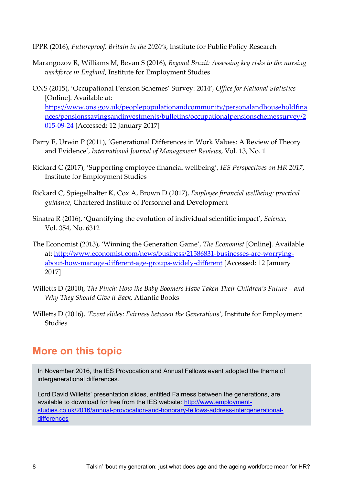IPPR (2016), *Futureproof: Britain in the 2020's*, Institute for Public Policy Research

- Marangozov R, Williams M, Bevan S (2016), *Beyond Brexit: Assessing key risks to the nursing workforce in England*, Institute for Employment Studies
- ONS (2015), 'Occupational Pension Schemes' Survey: 2014', *Office for National Statistics*  [Online]. Available at: [https://www.ons.gov.uk/peoplepopulationandcommunity/personalandhouseholdfina](https://www.ons.gov.uk/peoplepopulationandcommunity/personalandhouseholdfinances/pensionssavingsandinvestments/bulletins/occupationalpensionschemessurvey/2015-09-24) [nces/pensionssavingsandinvestments/bulletins/occupationalpensionschemessurvey/2](https://www.ons.gov.uk/peoplepopulationandcommunity/personalandhouseholdfinances/pensionssavingsandinvestments/bulletins/occupationalpensionschemessurvey/2015-09-24) [015-09-24](https://www.ons.gov.uk/peoplepopulationandcommunity/personalandhouseholdfinances/pensionssavingsandinvestments/bulletins/occupationalpensionschemessurvey/2015-09-24) [Accessed: 12 January 2017]
- Parry E, Urwin P (2011), 'Generational Differences in Work Values: A Review of Theory and Evidence', *International Journal of Management Reviews*, Vol. 13, No. 1
- Rickard C (2017), 'Supporting employee financial wellbeing', *IES Perspectives on HR 2017*, Institute for Employment Studies
- Rickard C, Spiegelhalter K, Cox A, Brown D (2017), *Employee financial wellbeing: practical guidance*, Chartered Institute of Personnel and Development
- Sinatra R (2016), 'Quantifying the evolution of individual scientific impact', *Science*, Vol. 354, No. 6312
- The Economist (2013), 'Winning the Generation Game', *The Economist* [Online]. Available at: [http://www.economist.com/news/business/21586831-businesses-are-worrying](http://www.economist.com/news/business/21586831-businesses-are-worrying-about-how-manage-different-age-groups-widely-different)[about-how-manage-different-age-groups-widely-different](http://www.economist.com/news/business/21586831-businesses-are-worrying-about-how-manage-different-age-groups-widely-different) [Accessed: 12 January 2017]
- Willetts D (2010), *The Pinch: How the Baby Boomers Have Taken Their Children's Future – and Why They Should Give it Back*, Atlantic Books
- Willetts D (2016), *'Event slides: Fairness between the Generations'*, Institute for Employment Studies

## **More on this topic**

In November 2016, the IES Provocation and Annual Fellows event adopted the theme of intergenerational differences.

Lord David Willetts' presentation slides, entitled Fairness between the generations, are available to download for free from the IES website: [http://www.employment](http://www.employment-studies.co.uk/2016/annual-provocation-and-honorary-fellows-address-intergenerational-differences)[studies.co.uk/2016/annual-provocation-and-honorary-fellows-address-intergenerational](http://www.employment-studies.co.uk/2016/annual-provocation-and-honorary-fellows-address-intergenerational-differences)[differences](http://www.employment-studies.co.uk/2016/annual-provocation-and-honorary-fellows-address-intergenerational-differences)